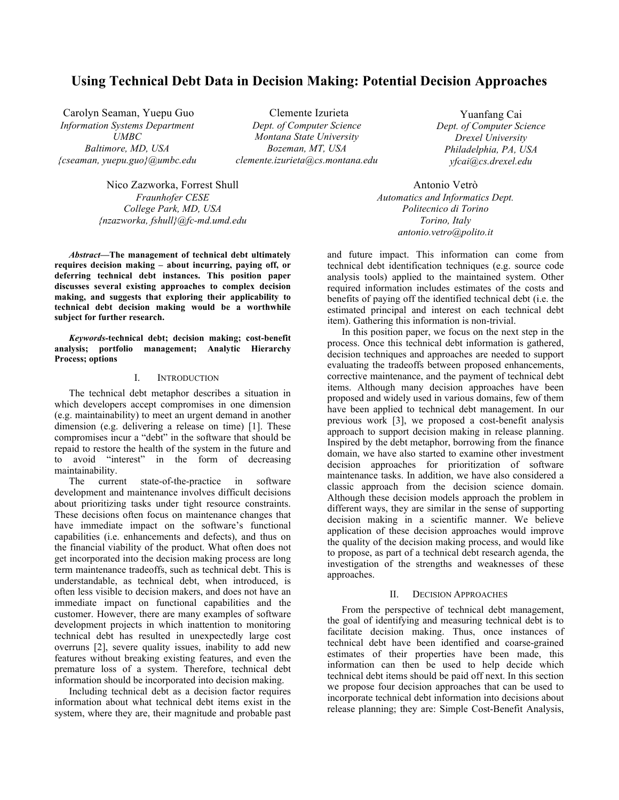# **Using Technical Debt Data in Decision Making: Potential Decision Approaches**

Carolyn Seaman, Yuepu Guo *Information Systems Department UMBC Baltimore, MD, USA {cseaman, yuepu.guo}@umbc.edu* 

Clemente Izurieta *Dept. of Computer Science Montana State University Bozeman, MT, USA clemente.izurieta@cs.montana.edu*

Yuanfang Cai *Dept. of Computer Science Drexel University Philadelphia, PA, USA yfcai@cs.drexel.edu*

Nico Zazworka, Forrest Shull *Fraunhofer CESE College Park, MD, USA {nzazworka, fshull}@fc-md.umd.edu*

*Abstract—***The management of technical debt ultimately requires decision making – about incurring, paying off, or deferring technical debt instances. This position paper discusses several existing approaches to complex decision making, and suggests that exploring their applicability to technical debt decision making would be a worthwhile subject for further research.**

*Keywords-***technical debt; decision making; cost-benefit analysis; portfolio management; Analytic Hierarchy Process; options**

# I. INTRODUCTION

The technical debt metaphor describes a situation in which developers accept compromises in one dimension (e.g. maintainability) to meet an urgent demand in another dimension (e.g. delivering a release on time) [1]. These compromises incur a "debt" in the software that should be repaid to restore the health of the system in the future and to avoid "interest" in the form of decreasing maintainability.

The current state-of-the-practice in software development and maintenance involves difficult decisions about prioritizing tasks under tight resource constraints. These decisions often focus on maintenance changes that have immediate impact on the software's functional capabilities (i.e. enhancements and defects), and thus on the financial viability of the product. What often does not get incorporated into the decision making process are long term maintenance tradeoffs, such as technical debt. This is understandable, as technical debt, when introduced, is often less visible to decision makers, and does not have an immediate impact on functional capabilities and the customer. However, there are many examples of software development projects in which inattention to monitoring technical debt has resulted in unexpectedly large cost overruns [2], severe quality issues, inability to add new features without breaking existing features, and even the premature loss of a system. Therefore, technical debt information should be incorporated into decision making.

Including technical debt as a decision factor requires information about what technical debt items exist in the system, where they are, their magnitude and probable past

Antonio Vetrò *Automatics and Informatics Dept. Politecnico di Torino Torino, Italy antonio.vetro@polito.it*

and future impact. This information can come from technical debt identification techniques (e.g. source code analysis tools) applied to the maintained system. Other required information includes estimates of the costs and benefits of paying off the identified technical debt (i.e. the estimated principal and interest on each technical debt item). Gathering this information is non-trivial.

In this position paper, we focus on the next step in the process. Once this technical debt information is gathered, decision techniques and approaches are needed to support evaluating the tradeoffs between proposed enhancements, corrective maintenance, and the payment of technical debt items. Although many decision approaches have been proposed and widely used in various domains, few of them have been applied to technical debt management. In our previous work [3], we proposed a cost-benefit analysis approach to support decision making in release planning. Inspired by the debt metaphor, borrowing from the finance domain, we have also started to examine other investment decision approaches for prioritization of software maintenance tasks. In addition, we have also considered a classic approach from the decision science domain. Although these decision models approach the problem in different ways, they are similar in the sense of supporting decision making in a scientific manner. We believe application of these decision approaches would improve the quality of the decision making process, and would like to propose, as part of a technical debt research agenda, the investigation of the strengths and weaknesses of these approaches.

#### II. DECISION APPROACHES

From the perspective of technical debt management, the goal of identifying and measuring technical debt is to facilitate decision making. Thus, once instances of technical debt have been identified and coarse-grained estimates of their properties have been made, this information can then be used to help decide which technical debt items should be paid off next. In this section we propose four decision approaches that can be used to incorporate technical debt information into decisions about release planning; they are: Simple Cost-Benefit Analysis,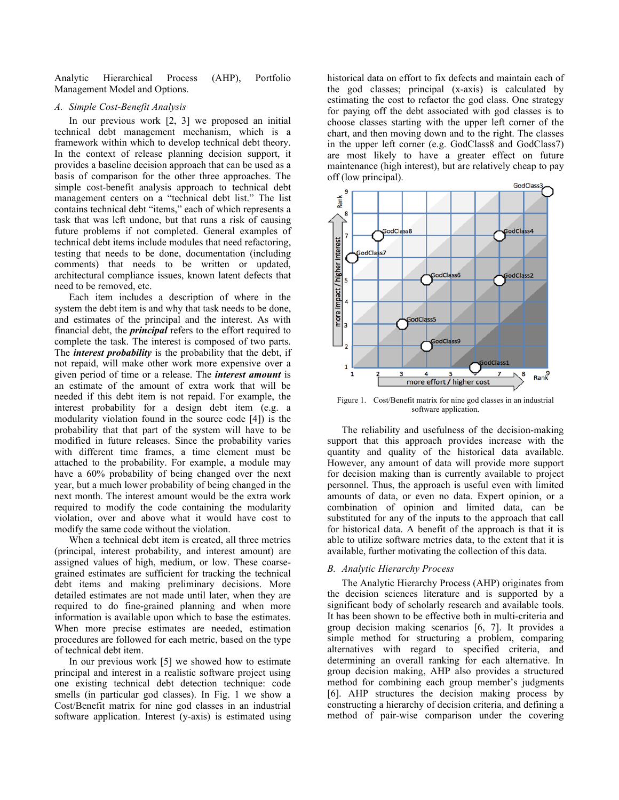Analytic Hierarchical Process (AHP), Portfolio Management Model and Options.

## *A. Simple Cost-Benefit Analysis*

In our previous work [2, 3] we proposed an initial technical debt management mechanism, which is a framework within which to develop technical debt theory. In the context of release planning decision support, it provides a baseline decision approach that can be used as a basis of comparison for the other three approaches. The simple cost-benefit analysis approach to technical debt management centers on a "technical debt list." The list contains technical debt "items," each of which represents a task that was left undone, but that runs a risk of causing future problems if not completed. General examples of technical debt items include modules that need refactoring, testing that needs to be done, documentation (including comments) that needs to be written or updated, architectural compliance issues, known latent defects that need to be removed, etc.

Each item includes a description of where in the system the debt item is and why that task needs to be done, and estimates of the principal and the interest. As with financial debt, the *principal* refers to the effort required to complete the task. The interest is composed of two parts. The *interest probability* is the probability that the debt, if not repaid, will make other work more expensive over a given period of time or a release. The *interest amount* is an estimate of the amount of extra work that will be needed if this debt item is not repaid. For example, the interest probability for a design debt item (e.g. a modularity violation found in the source code [4]) is the probability that that part of the system will have to be modified in future releases. Since the probability varies with different time frames, a time element must be attached to the probability. For example, a module may have a 60% probability of being changed over the next year, but a much lower probability of being changed in the next month. The interest amount would be the extra work required to modify the code containing the modularity violation, over and above what it would have cost to modify the same code without the violation.

When a technical debt item is created, all three metrics (principal, interest probability, and interest amount) are assigned values of high, medium, or low. These coarsegrained estimates are sufficient for tracking the technical debt items and making preliminary decisions. More detailed estimates are not made until later, when they are required to do fine-grained planning and when more information is available upon which to base the estimates. When more precise estimates are needed, estimation procedures are followed for each metric, based on the type of technical debt item.

In our previous work [5] we showed how to estimate principal and interest in a realistic software project using one existing technical debt detection technique: code smells (in particular god classes). In Fig. 1 we show a Cost/Benefit matrix for nine god classes in an industrial software application. Interest (y-axis) is estimated using historical data on effort to fix defects and maintain each of the god classes; principal (x-axis) is calculated by estimating the cost to refactor the god class. One strategy for paying off the debt associated with god classes is to choose classes starting with the upper left corner of the chart, and then moving down and to the right. The classes in the upper left corner (e.g. GodClass8 and GodClass7) are most likely to have a greater effect on future maintenance (high interest), but are relatively cheap to pay off (low principal).



Figure 1. Cost/Benefit matrix for nine god classes in an industrial software application.

The reliability and usefulness of the decision-making support that this approach provides increase with the quantity and quality of the historical data available. However, any amount of data will provide more support for decision making than is currently available to project personnel. Thus, the approach is useful even with limited amounts of data, or even no data. Expert opinion, or a combination of opinion and limited data, can be substituted for any of the inputs to the approach that call for historical data. A benefit of the approach is that it is able to utilize software metrics data, to the extent that it is available, further motivating the collection of this data.

#### *B. Analytic Hierarchy Process*

The Analytic Hierarchy Process (AHP) originates from the decision sciences literature and is supported by a significant body of scholarly research and available tools. It has been shown to be effective both in multi-criteria and group decision making scenarios [6, 7]. It provides a simple method for structuring a problem, comparing alternatives with regard to specified criteria, and determining an overall ranking for each alternative. In group decision making, AHP also provides a structured method for combining each group member's judgments [6]. AHP structures the decision making process by constructing a hierarchy of decision criteria, and defining a method of pair-wise comparison under the covering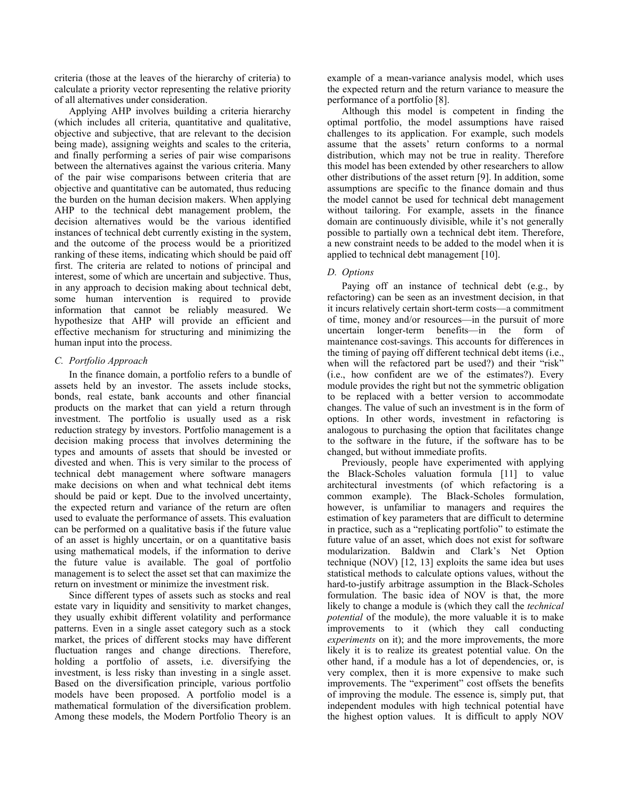criteria (those at the leaves of the hierarchy of criteria) to calculate a priority vector representing the relative priority of all alternatives under consideration.

Applying AHP involves building a criteria hierarchy (which includes all criteria, quantitative and qualitative, objective and subjective, that are relevant to the decision being made), assigning weights and scales to the criteria, and finally performing a series of pair wise comparisons between the alternatives against the various criteria. Many of the pair wise comparisons between criteria that are objective and quantitative can be automated, thus reducing the burden on the human decision makers. When applying AHP to the technical debt management problem, the decision alternatives would be the various identified instances of technical debt currently existing in the system, and the outcome of the process would be a prioritized ranking of these items, indicating which should be paid off first. The criteria are related to notions of principal and interest, some of which are uncertain and subjective. Thus, in any approach to decision making about technical debt, some human intervention is required to provide information that cannot be reliably measured. We hypothesize that AHP will provide an efficient and effective mechanism for structuring and minimizing the human input into the process.

# *C. Portfolio Approach*

In the finance domain, a portfolio refers to a bundle of assets held by an investor. The assets include stocks, bonds, real estate, bank accounts and other financial products on the market that can yield a return through investment. The portfolio is usually used as a risk reduction strategy by investors. Portfolio management is a decision making process that involves determining the types and amounts of assets that should be invested or divested and when. This is very similar to the process of technical debt management where software managers make decisions on when and what technical debt items should be paid or kept. Due to the involved uncertainty, the expected return and variance of the return are often used to evaluate the performance of assets. This evaluation can be performed on a qualitative basis if the future value of an asset is highly uncertain, or on a quantitative basis using mathematical models, if the information to derive the future value is available. The goal of portfolio management is to select the asset set that can maximize the return on investment or minimize the investment risk.

Since different types of assets such as stocks and real estate vary in liquidity and sensitivity to market changes, they usually exhibit different volatility and performance patterns. Even in a single asset category such as a stock market, the prices of different stocks may have different fluctuation ranges and change directions. Therefore, holding a portfolio of assets, i.e. diversifying the investment, is less risky than investing in a single asset. Based on the diversification principle, various portfolio models have been proposed. A portfolio model is a mathematical formulation of the diversification problem. Among these models, the Modern Portfolio Theory is an

example of a mean-variance analysis model, which uses the expected return and the return variance to measure the performance of a portfolio [8].

Although this model is competent in finding the optimal portfolio, the model assumptions have raised challenges to its application. For example, such models assume that the assets' return conforms to a normal distribution, which may not be true in reality. Therefore this model has been extended by other researchers to allow other distributions of the asset return [9]. In addition, some assumptions are specific to the finance domain and thus the model cannot be used for technical debt management without tailoring. For example, assets in the finance domain are continuously divisible, while it's not generally possible to partially own a technical debt item. Therefore, a new constraint needs to be added to the model when it is applied to technical debt management [10].

# *D. Options*

Paying off an instance of technical debt (e.g., by refactoring) can be seen as an investment decision, in that it incurs relatively certain short-term costs—a commitment of time, money and/or resources—in the pursuit of more uncertain longer-term benefits—in the form of maintenance cost-savings. This accounts for differences in the timing of paying off different technical debt items (i.e., when will the refactored part be used?) and their "risk" (i.e., how confident are we of the estimates?). Every module provides the right but not the symmetric obligation to be replaced with a better version to accommodate changes. The value of such an investment is in the form of options. In other words, investment in refactoring is analogous to purchasing the option that facilitates change to the software in the future, if the software has to be changed, but without immediate profits.

Previously, people have experimented with applying the Black-Scholes valuation formula [11] to value architectural investments (of which refactoring is a common example). The Black-Scholes formulation, however, is unfamiliar to managers and requires the estimation of key parameters that are difficult to determine in practice, such as a "replicating portfolio" to estimate the future value of an asset, which does not exist for software modularization. Baldwin and Clark's Net Option technique (NOV) [12, 13] exploits the same idea but uses statistical methods to calculate options values, without the hard-to-justify arbitrage assumption in the Black-Scholes formulation. The basic idea of NOV is that, the more likely to change a module is (which they call the *technical potential* of the module), the more valuable it is to make improvements to it (which they call conducting *experiments* on it); and the more improvements, the more likely it is to realize its greatest potential value. On the other hand, if a module has a lot of dependencies, or, is very complex, then it is more expensive to make such improvements. The "experiment" cost offsets the benefits of improving the module. The essence is, simply put, that independent modules with high technical potential have the highest option values. It is difficult to apply NOV